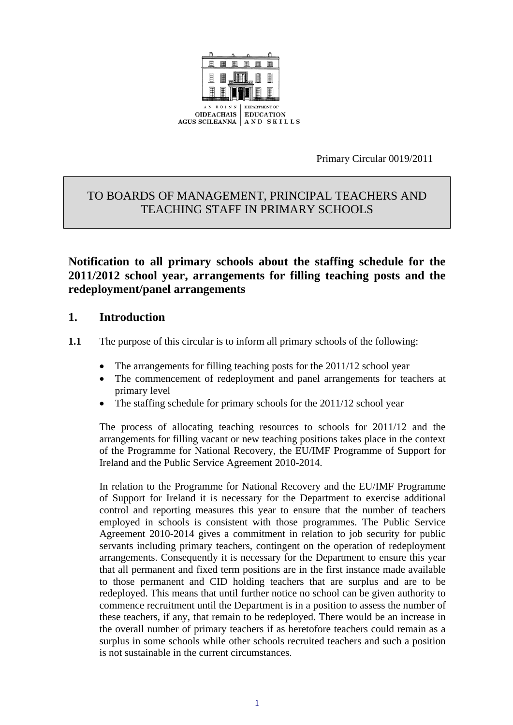

Primary Circular 0019/2011

# TO BOARDS OF MANAGEMENT, PRINCIPAL TEACHERS AND TEACHING STAFF IN PRIMARY SCHOOLS

**Notification to all primary schools about the staffing schedule for the 2011/2012 school year, arrangements for filling teaching posts and the redeployment/panel arrangements** 

# **1. Introduction**

- **1.1** The purpose of this circular is to inform all primary schools of the following:
	- The arrangements for filling teaching posts for the 2011/12 school year
	- The commencement of redeployment and panel arrangements for teachers at primary level
	- The staffing schedule for primary schools for the 2011/12 school year

The process of allocating teaching resources to schools for 2011/12 and the arrangements for filling vacant or new teaching positions takes place in the context of the Programme for National Recovery, the EU/IMF Programme of Support for Ireland and the Public Service Agreement 2010-2014.

In relation to the Programme for National Recovery and the EU/IMF Programme of Support for Ireland it is necessary for the Department to exercise additional control and reporting measures this year to ensure that the number of teachers employed in schools is consistent with those programmes. The Public Service Agreement 2010-2014 gives a commitment in relation to job security for public servants including primary teachers, contingent on the operation of redeployment arrangements. Consequently it is necessary for the Department to ensure this year that all permanent and fixed term positions are in the first instance made available to those permanent and CID holding teachers that are surplus and are to be redeployed. This means that until further notice no school can be given authority to commence recruitment until the Department is in a position to assess the number of these teachers, if any, that remain to be redeployed. There would be an increase in the overall number of primary teachers if as heretofore teachers could remain as a surplus in some schools while other schools recruited teachers and such a position is not sustainable in the current circumstances.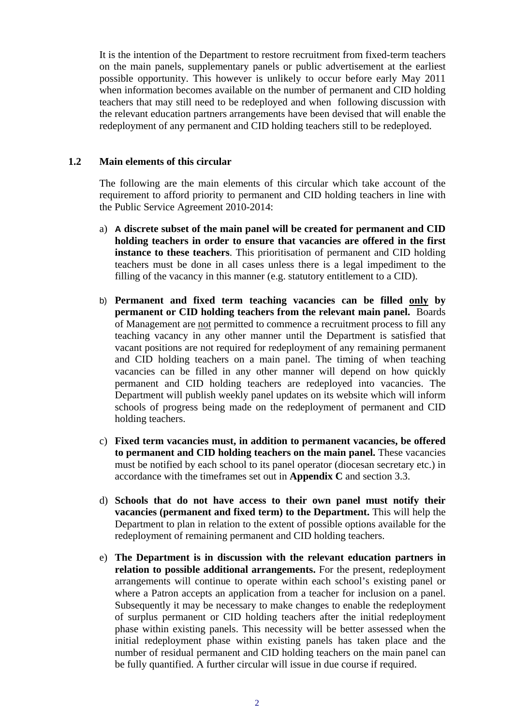It is the intention of the Department to restore recruitment from fixed-term teachers on the main panels, supplementary panels or public advertisement at the earliest possible opportunity. This however is unlikely to occur before early May 2011 when information becomes available on the number of permanent and CID holding teachers that may still need to be redeployed and when following discussion with the relevant education partners arrangements have been devised that will enable the redeployment of any permanent and CID holding teachers still to be redeployed.

#### **1.2 Main elements of this circular**

The following are the main elements of this circular which take account of the requirement to afford priority to permanent and CID holding teachers in line with the Public Service Agreement 2010-2014:

- a) **A discrete subset of the main panel will be created for permanent and CID holding teachers in order to ensure that vacancies are offered in the first instance to these teachers**. This prioritisation of permanent and CID holding teachers must be done in all cases unless there is a legal impediment to the filling of the vacancy in this manner (e.g. statutory entitlement to a CID).
- b) **Permanent and fixed term teaching vacancies can be filled only by permanent or CID holding teachers from the relevant main panel.** Boards of Management are not permitted to commence a recruitment process to fill any teaching vacancy in any other manner until the Department is satisfied that vacant positions are not required for redeployment of any remaining permanent and CID holding teachers on a main panel. The timing of when teaching vacancies can be filled in any other manner will depend on how quickly permanent and CID holding teachers are redeployed into vacancies. The Department will publish weekly panel updates on its website which will inform schools of progress being made on the redeployment of permanent and CID holding teachers.
- c) **Fixed term vacancies must, in addition to permanent vacancies, be offered to permanent and CID holding teachers on the main panel.** These vacancies must be notified by each school to its panel operator (diocesan secretary etc.) in accordance with the timeframes set out in **Appendix C** and section 3.3.
- d) **Schools that do not have access to their own panel must notify their vacancies (permanent and fixed term) to the Department.** This will help the Department to plan in relation to the extent of possible options available for the redeployment of remaining permanent and CID holding teachers.
- e) **The Department is in discussion with the relevant education partners in relation to possible additional arrangements.** For the present, redeployment arrangements will continue to operate within each school's existing panel or where a Patron accepts an application from a teacher for inclusion on a panel. Subsequently it may be necessary to make changes to enable the redeployment of surplus permanent or CID holding teachers after the initial redeployment phase within existing panels. This necessity will be better assessed when the initial redeployment phase within existing panels has taken place and the number of residual permanent and CID holding teachers on the main panel can be fully quantified. A further circular will issue in due course if required.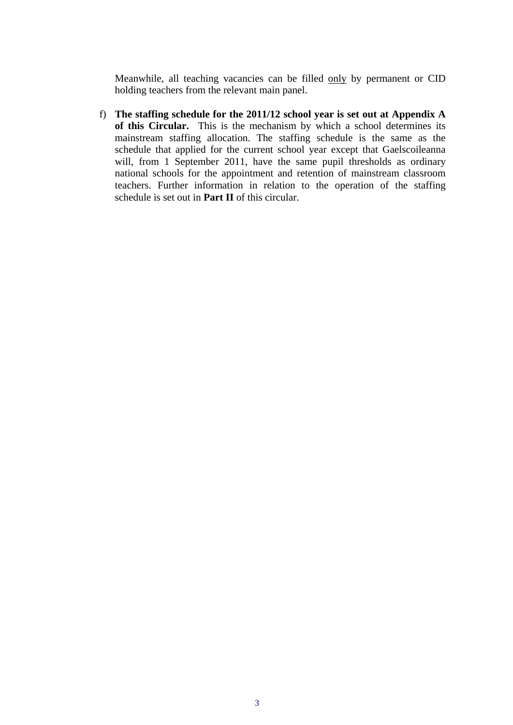Meanwhile, all teaching vacancies can be filled only by permanent or CID holding teachers from the relevant main panel.

f) **The staffing schedule for the 2011/12 school year is set out at Appendix A of this Circular.** This is the mechanism by which a school determines its mainstream staffing allocation. The staffing schedule is the same as the schedule that applied for the current school year except that Gaelscoileanna will, from 1 September 2011, have the same pupil thresholds as ordinary national schools for the appointment and retention of mainstream classroom teachers. Further information in relation to the operation of the staffing schedule is set out in **Part II** of this circular.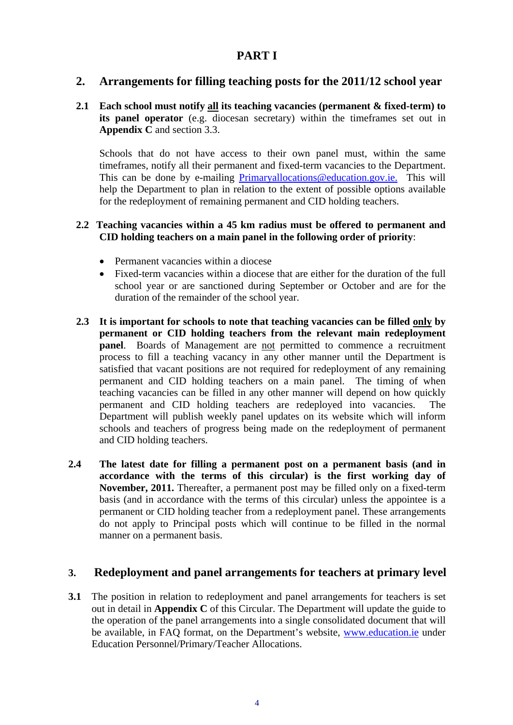# **PART I**

# **2. Arrangements for filling teaching posts for the 2011/12 school year**

# **2.1 Each school must notify all its teaching vacancies (permanent & fixed-term) to its panel operator** (e.g. diocesan secretary) within the timeframes set out in **Appendix C** and section 3.3.

Schools that do not have access to their own panel must, within the same timeframes, notify all their permanent and fixed-term vacancies to the Department. This can be done by e-mailing Primaryallocations@education.gov.ie. This will help the Department to plan in relation to the extent of possible options available for the redeployment of remaining permanent and CID holding teachers.

#### **2.2 Teaching vacancies within a 45 km radius must be offered to permanent and CID holding teachers on a main panel in the following order of priority**:

- Permanent vacancies within a diocese
- Fixed-term vacancies within a diocese that are either for the duration of the full school year or are sanctioned during September or October and are for the duration of the remainder of the school year.
- **2.3 It is important for schools to note that teaching vacancies can be filled only by permanent or CID holding teachers from the relevant main redeployment panel**. Boards of Management are not permitted to commence a recruitment process to fill a teaching vacancy in any other manner until the Department is satisfied that vacant positions are not required for redeployment of any remaining permanent and CID holding teachers on a main panel. The timing of when teaching vacancies can be filled in any other manner will depend on how quickly permanent and CID holding teachers are redeployed into vacancies. The Department will publish weekly panel updates on its website which will inform schools and teachers of progress being made on the redeployment of permanent and CID holding teachers.
- **2.4 The latest date for filling a permanent post on a permanent basis (and in accordance with the terms of this circular) is the first working day of November, 2011.** Thereafter, a permanent post may be filled only on a fixed-term basis (and in accordance with the terms of this circular) unless the appointee is a permanent or CID holding teacher from a redeployment panel. These arrangements do not apply to Principal posts which will continue to be filled in the normal manner on a permanent basis.

# **3. Redeployment and panel arrangements for teachers at primary level**

**3.1** The position in relation to redeployment and panel arrangements for teachers is set out in detail in **Appendix C** of this Circular. The Department will update the guide to the operation of the panel arrangements into a single consolidated document that will be available, in FAQ format, on the Department's website, [www.education.ie](http://www.education.ie/) under Education Personnel/Primary/Teacher Allocations.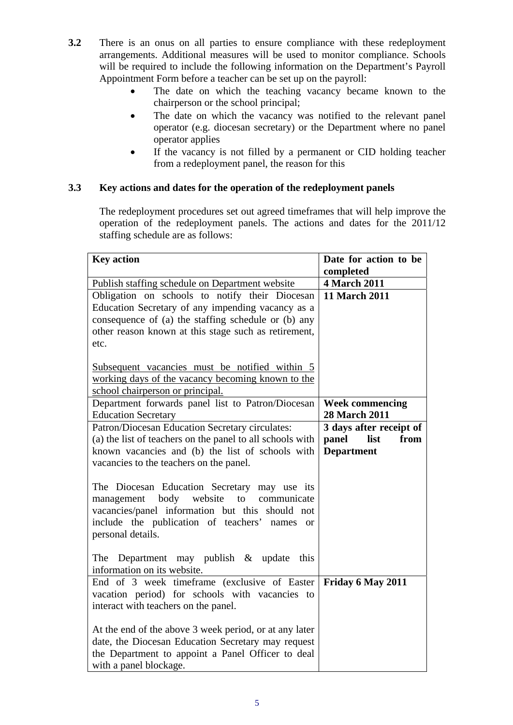- **3.2** There is an onus on all parties to ensure compliance with these redeployment arrangements. Additional measures will be used to monitor compliance. Schools will be required to include the following information on the Department's Payroll Appointment Form before a teacher can be set up on the payroll:
	- The date on which the teaching vacancy became known to the chairperson or the school principal;
	- The date on which the vacancy was notified to the relevant panel operator (e.g. diocesan secretary) or the Department where no panel operator applies
	- If the vacancy is not filled by a permanent or CID holding teacher from a redeployment panel, the reason for this

# **3.3 Key actions and dates for the operation of the redeployment panels**

The redeployment procedures set out agreed timeframes that will help improve the operation of the redeployment panels. The actions and dates for the 2011/12 staffing schedule are as follows:

| <b>Key action</b>                                                                                                                                                                                                                                                                          | Date for action to be   |
|--------------------------------------------------------------------------------------------------------------------------------------------------------------------------------------------------------------------------------------------------------------------------------------------|-------------------------|
|                                                                                                                                                                                                                                                                                            | completed               |
| Publish staffing schedule on Department website                                                                                                                                                                                                                                            | <b>4 March 2011</b>     |
| Obligation on schools to notify their Diocesan                                                                                                                                                                                                                                             | <b>11 March 2011</b>    |
| Education Secretary of any impending vacancy as a                                                                                                                                                                                                                                          |                         |
| consequence of (a) the staffing schedule or (b) any                                                                                                                                                                                                                                        |                         |
| other reason known at this stage such as retirement,                                                                                                                                                                                                                                       |                         |
| etc.                                                                                                                                                                                                                                                                                       |                         |
|                                                                                                                                                                                                                                                                                            |                         |
| Subsequent vacancies must be notified within 5                                                                                                                                                                                                                                             |                         |
| working days of the vacancy becoming known to the                                                                                                                                                                                                                                          |                         |
| school chairperson or principal.                                                                                                                                                                                                                                                           |                         |
| Department forwards panel list to Patron/Diocesan                                                                                                                                                                                                                                          | <b>Week commencing</b>  |
| <b>Education Secretary</b>                                                                                                                                                                                                                                                                 | <b>28 March 2011</b>    |
| Patron/Diocesan Education Secretary circulates:                                                                                                                                                                                                                                            | 3 days after receipt of |
| (a) the list of teachers on the panel to all schools with                                                                                                                                                                                                                                  | list<br>from<br>panel   |
| known vacancies and (b) the list of schools with                                                                                                                                                                                                                                           | <b>Department</b>       |
| vacancies to the teachers on the panel.                                                                                                                                                                                                                                                    |                         |
| The Diocesan Education Secretary may use its<br>body<br>website<br>to<br>communicate<br>management<br>vacancies/panel information but this should not<br>include the publication of teachers' names<br><b>or</b><br>personal details.<br>The<br>Department may publish $\&$ update<br>this |                         |
| information on its website.                                                                                                                                                                                                                                                                |                         |
| End of 3 week timeframe (exclusive of Easter                                                                                                                                                                                                                                               | Friday 6 May 2011       |
| vacation period) for schools with vacancies to                                                                                                                                                                                                                                             |                         |
| interact with teachers on the panel.                                                                                                                                                                                                                                                       |                         |
|                                                                                                                                                                                                                                                                                            |                         |
| At the end of the above 3 week period, or at any later                                                                                                                                                                                                                                     |                         |
| date, the Diocesan Education Secretary may request                                                                                                                                                                                                                                         |                         |
| the Department to appoint a Panel Officer to deal                                                                                                                                                                                                                                          |                         |
| with a panel blockage.                                                                                                                                                                                                                                                                     |                         |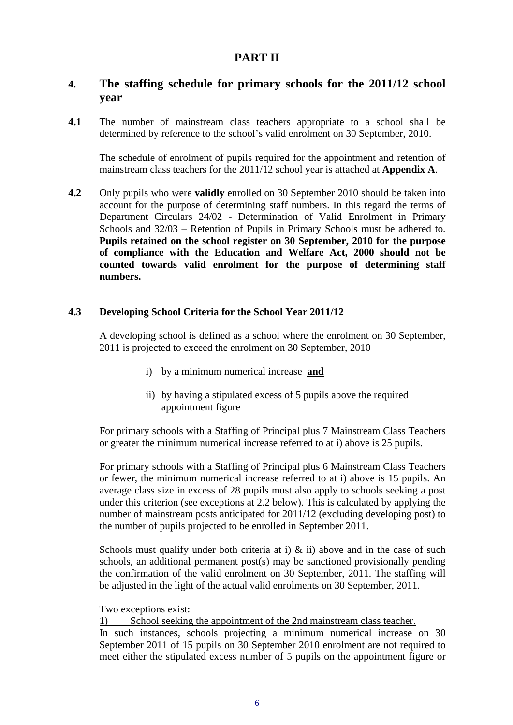# **PART II**

# **4. The staffing schedule for primary schools for the 2011/12 school year**

**4.1** The number of mainstream class teachers appropriate to a school shall be determined by reference to the school's valid enrolment on 30 September, 2010.

The schedule of enrolment of pupils required for the appointment and retention of mainstream class teachers for the 2011/12 school year is attached at **Appendix A**.

**4.2** Only pupils who were **validly** enrolled on 30 September 2010 should be taken into account for the purpose of determining staff numbers. In this regard the terms of Department Circulars 24/02 - Determination of Valid Enrolment in Primary Schools and 32/03 – Retention of Pupils in Primary Schools must be adhered to. **Pupils retained on the school register on 30 September, 2010 for the purpose of compliance with the Education and Welfare Act, 2000 should not be counted towards valid enrolment for the purpose of determining staff numbers.** 

#### **4.3 Developing School Criteria for the School Year 2011/12**

A developing school is defined as a school where the enrolment on 30 September, 2011 is projected to exceed the enrolment on 30 September, 2010

- i) by a minimum numerical increase **and**
- ii) by having a stipulated excess of 5 pupils above the required appointment figure

For primary schools with a Staffing of Principal plus 7 Mainstream Class Teachers or greater the minimum numerical increase referred to at i) above is 25 pupils.

For primary schools with a Staffing of Principal plus 6 Mainstream Class Teachers or fewer, the minimum numerical increase referred to at i) above is 15 pupils. An average class size in excess of 28 pupils must also apply to schools seeking a post under this criterion (see exceptions at 2.2 below). This is calculated by applying the number of mainstream posts anticipated for 2011/12 (excluding developing post) to the number of pupils projected to be enrolled in September 2011.

Schools must qualify under both criteria at i)  $\&$  ii) above and in the case of such schools, an additional permanent post(s) may be sanctioned provisionally pending the confirmation of the valid enrolment on 30 September, 2011. The staffing will be adjusted in the light of the actual valid enrolments on 30 September, 2011.

Two exceptions exist:

1) School seeking the appointment of the 2nd mainstream class teacher. In such instances, schools projecting a minimum numerical increase on 30 September 2011 of 15 pupils on 30 September 2010 enrolment are not required to meet either the stipulated excess number of 5 pupils on the appointment figure or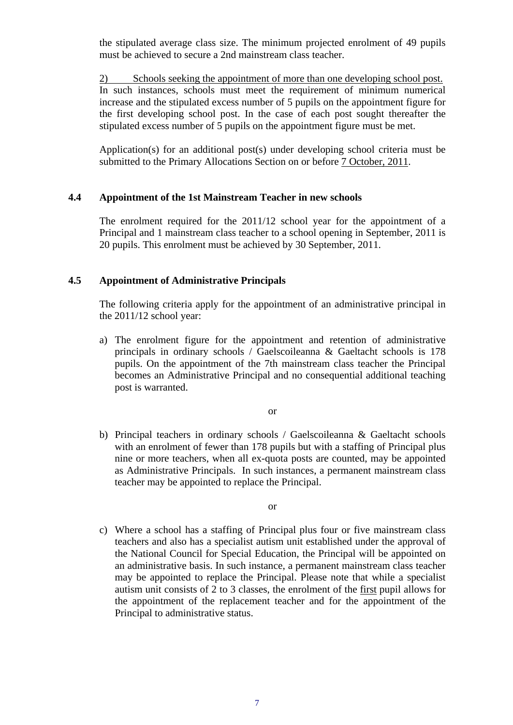the stipulated average class size. The minimum projected enrolment of 49 pupils must be achieved to secure a 2nd mainstream class teacher.

2) Schools seeking the appointment of more than one developing school post. In such instances, schools must meet the requirement of minimum numerical increase and the stipulated excess number of 5 pupils on the appointment figure for the first developing school post. In the case of each post sought thereafter the stipulated excess number of 5 pupils on the appointment figure must be met.

Application(s) for an additional post(s) under developing school criteria must be submitted to the Primary Allocations Section on or before 7 October, 2011.

#### **4.4 Appointment of the 1st Mainstream Teacher in new schools**

The enrolment required for the 2011/12 school year for the appointment of a Principal and 1 mainstream class teacher to a school opening in September, 2011 is 20 pupils. This enrolment must be achieved by 30 September, 2011.

#### **4.5 Appointment of Administrative Principals**

 The following criteria apply for the appointment of an administrative principal in the 2011/12 school year:

a) The enrolment figure for the appointment and retention of administrative principals in ordinary schools / Gaelscoileanna & Gaeltacht schools is 178 pupils. On the appointment of the 7th mainstream class teacher the Principal becomes an Administrative Principal and no consequential additional teaching post is warranted.

or

b) Principal teachers in ordinary schools / Gaelscoileanna & Gaeltacht schools with an enrolment of fewer than 178 pupils but with a staffing of Principal plus nine or more teachers, when all ex-quota posts are counted, may be appointed as Administrative Principals. In such instances, a permanent mainstream class teacher may be appointed to replace the Principal.

or

c) Where a school has a staffing of Principal plus four or five mainstream class teachers and also has a specialist autism unit established under the approval of the National Council for Special Education, the Principal will be appointed on an administrative basis. In such instance, a permanent mainstream class teacher may be appointed to replace the Principal. Please note that while a specialist autism unit consists of 2 to 3 classes, the enrolment of the first pupil allows for the appointment of the replacement teacher and for the appointment of the Principal to administrative status.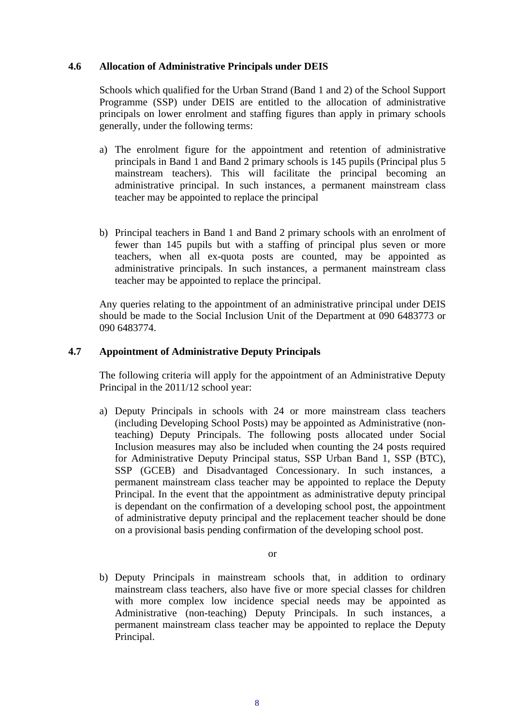#### **4.6 Allocation of Administrative Principals under DEIS**

Schools which qualified for the Urban Strand (Band 1 and 2) of the School Support Programme (SSP) under DEIS are entitled to the allocation of administrative principals on lower enrolment and staffing figures than apply in primary schools generally, under the following terms:

- a) The enrolment figure for the appointment and retention of administrative principals in Band 1 and Band 2 primary schools is 145 pupils (Principal plus 5 mainstream teachers). This will facilitate the principal becoming an administrative principal. In such instances, a permanent mainstream class teacher may be appointed to replace the principal
- b) Principal teachers in Band 1 and Band 2 primary schools with an enrolment of fewer than 145 pupils but with a staffing of principal plus seven or more teachers, when all ex-quota posts are counted, may be appointed as administrative principals. In such instances, a permanent mainstream class teacher may be appointed to replace the principal.

Any queries relating to the appointment of an administrative principal under DEIS should be made to the Social Inclusion Unit of the Department at 090 6483773 or 090 6483774.

#### **4.7 Appointment of Administrative Deputy Principals**

The following criteria will apply for the appointment of an Administrative Deputy Principal in the 2011/12 school year:

a) Deputy Principals in schools with 24 or more mainstream class teachers (including Developing School Posts) may be appointed as Administrative (nonteaching) Deputy Principals. The following posts allocated under Social Inclusion measures may also be included when counting the 24 posts required for Administrative Deputy Principal status, SSP Urban Band 1, SSP (BTC), SSP (GCEB) and Disadvantaged Concessionary. In such instances, a permanent mainstream class teacher may be appointed to replace the Deputy Principal. In the event that the appointment as administrative deputy principal is dependant on the confirmation of a developing school post, the appointment of administrative deputy principal and the replacement teacher should be done on a provisional basis pending confirmation of the developing school post.

or

b) Deputy Principals in mainstream schools that, in addition to ordinary mainstream class teachers, also have five or more special classes for children with more complex low incidence special needs may be appointed as Administrative (non-teaching) Deputy Principals. In such instances, a permanent mainstream class teacher may be appointed to replace the Deputy Principal.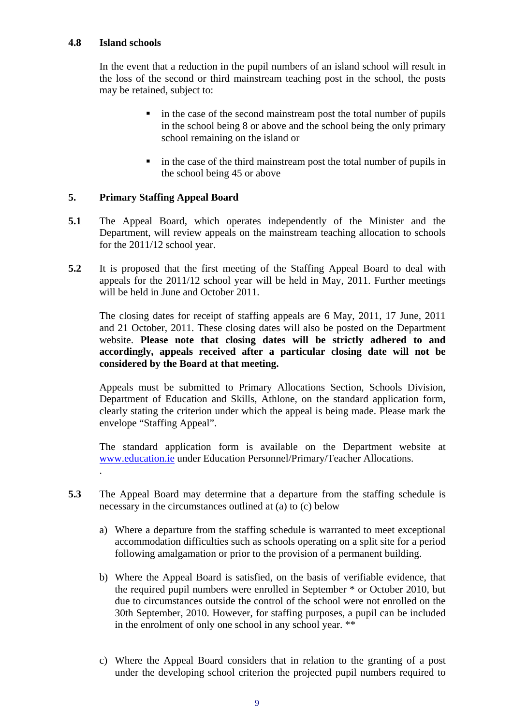#### **4.8 Island schools**

In the event that a reduction in the pupil numbers of an island school will result in the loss of the second or third mainstream teaching post in the school, the posts may be retained, subject to:

- $\blacksquare$  in the case of the second mainstream post the total number of pupils in the school being 8 or above and the school being the only primary school remaining on the island or
- in the case of the third mainstream post the total number of pupils in the school being 45 or above

# **5. Primary Staffing Appeal Board**

- **5.1** The Appeal Board, which operates independently of the Minister and the Department, will review appeals on the mainstream teaching allocation to schools for the 2011/12 school year.
- **5.2** It is proposed that the first meeting of the Staffing Appeal Board to deal with appeals for the 2011/12 school year will be held in May, 2011. Further meetings will be held in June and October 2011.

The closing dates for receipt of staffing appeals are 6 May, 2011, 17 June, 2011 and 21 October, 2011. These closing dates will also be posted on the Department website. **Please note that closing dates will be strictly adhered to and accordingly, appeals received after a particular closing date will not be considered by the Board at that meeting.** 

Appeals must be submitted to Primary Allocations Section, Schools Division, Department of Education and Skills, Athlone, on the standard application form, clearly stating the criterion under which the appeal is being made. Please mark the envelope "Staffing Appeal".

The standard application form is available on the Department website at [www.education.ie](http://www.education.ie/) under Education Personnel/Primary/Teacher Allocations. .

- **5.3** The Appeal Board may determine that a departure from the staffing schedule is necessary in the circumstances outlined at (a) to (c) below
	- a) Where a departure from the staffing schedule is warranted to meet exceptional accommodation difficulties such as schools operating on a split site for a period following amalgamation or prior to the provision of a permanent building.
	- b) Where the Appeal Board is satisfied, on the basis of verifiable evidence, that the required pupil numbers were enrolled in September \* or October 2010, but due to circumstances outside the control of the school were not enrolled on the 30th September, 2010. However, for staffing purposes, a pupil can be included in the enrolment of only one school in any school year. \*\*
	- c) Where the Appeal Board considers that in relation to the granting of a post under the developing school criterion the projected pupil numbers required to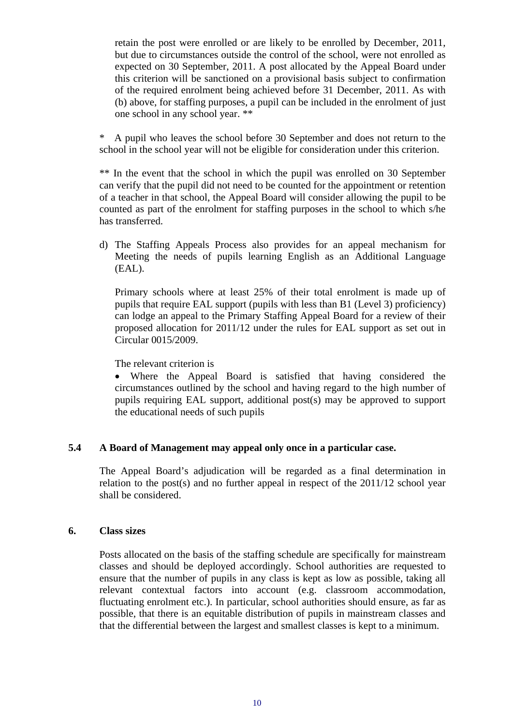retain the post were enrolled or are likely to be enrolled by December, 2011, but due to circumstances outside the control of the school, were not enrolled as expected on 30 September, 2011. A post allocated by the Appeal Board under this criterion will be sanctioned on a provisional basis subject to confirmation of the required enrolment being achieved before 31 December, 2011. As with (b) above, for staffing purposes, a pupil can be included in the enrolment of just one school in any school year. \*\*

A pupil who leaves the school before 30 September and does not return to the school in the school year will not be eligible for consideration under this criterion.

\*\* In the event that the school in which the pupil was enrolled on 30 September can verify that the pupil did not need to be counted for the appointment or retention of a teacher in that school, the Appeal Board will consider allowing the pupil to be counted as part of the enrolment for staffing purposes in the school to which s/he has transferred.

d) The Staffing Appeals Process also provides for an appeal mechanism for Meeting the needs of pupils learning English as an Additional Language (EAL).

Primary schools where at least 25% of their total enrolment is made up of pupils that require EAL support (pupils with less than B1 (Level 3) proficiency) can lodge an appeal to the Primary Staffing Appeal Board for a review of their proposed allocation for 2011/12 under the rules for EAL support as set out in Circular 0015/2009.

The relevant criterion is

• Where the Appeal Board is satisfied that having considered the circumstances outlined by the school and having regard to the high number of pupils requiring EAL support, additional post(s) may be approved to support the educational needs of such pupils

#### **5.4 A Board of Management may appeal only once in a particular case.**

The Appeal Board's adjudication will be regarded as a final determination in relation to the post(s) and no further appeal in respect of the 2011/12 school year shall be considered.

#### **6. Class sizes**

Posts allocated on the basis of the staffing schedule are specifically for mainstream classes and should be deployed accordingly. School authorities are requested to ensure that the number of pupils in any class is kept as low as possible, taking all relevant contextual factors into account (e.g. classroom accommodation, fluctuating enrolment etc.). In particular, school authorities should ensure, as far as possible, that there is an equitable distribution of pupils in mainstream classes and that the differential between the largest and smallest classes is kept to a minimum.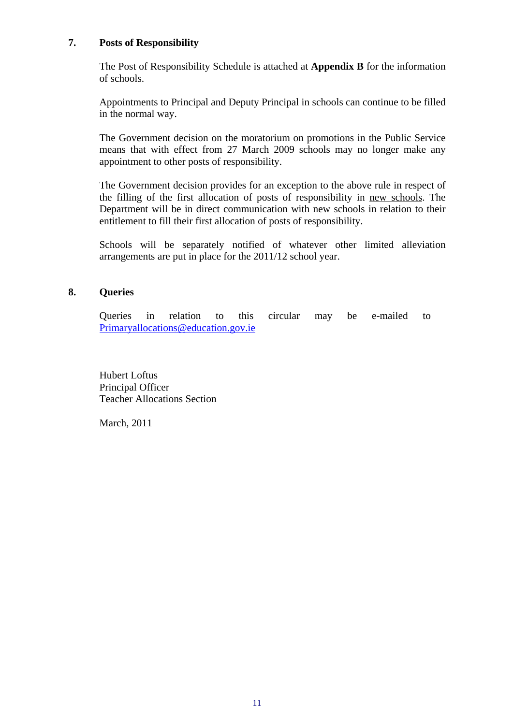#### **7. Posts of Responsibility**

The Post of Responsibility Schedule is attached at **Appendix B** for the information of schools.

Appointments to Principal and Deputy Principal in schools can continue to be filled in the normal way.

The Government decision on the moratorium on promotions in the Public Service means that with effect from 27 March 2009 schools may no longer make any appointment to other posts of responsibility.

The Government decision provides for an exception to the above rule in respect of the filling of the first allocation of posts of responsibility in new schools. The Department will be in direct communication with new schools in relation to their entitlement to fill their first allocation of posts of responsibility.

Schools will be separately notified of whatever other limited alleviation arrangements are put in place for the 2011/12 school year.

#### **8. Queries**

Queries in relation to this circular may be e-mailed to [Primaryallocations@education.gov.ie](mailto:%20Primaryallocations@education.gov.ie)

Hubert Loftus Principal Officer Teacher Allocations Section

March, 2011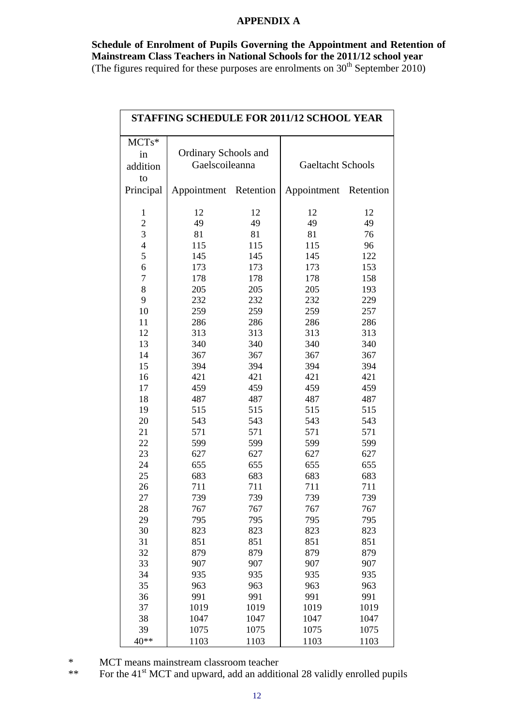#### **APPENDIX A**

**Schedule of Enrolment of Pupils Governing the Appointment and Retention of Mainstream Class Teachers in National Schools for the 2011/12 school year**  (The figures required for these purposes are enrolments on  $30<sup>th</sup>$  September 2010)

| <b>STAFFING SCHEDULE FOR 2011/12 SCHOOL YEAR</b> |                       |            |                          |      |  |  |  |
|--------------------------------------------------|-----------------------|------------|--------------------------|------|--|--|--|
| MCTs*                                            |                       |            |                          |      |  |  |  |
| in                                               | Ordinary Schools and  |            |                          |      |  |  |  |
| addition                                         | Gaelscoileanna        |            | <b>Gaeltacht Schools</b> |      |  |  |  |
| to                                               |                       |            |                          |      |  |  |  |
| Principal                                        | Appointment Retention |            | Appointment Retention    |      |  |  |  |
| 1                                                | 12                    | 12         | 12                       | 12   |  |  |  |
| $\overline{c}$                                   | 49                    | 49         | 49                       | 49   |  |  |  |
| 3                                                | 81                    | 81         | 81                       | 76   |  |  |  |
| $\overline{4}$                                   | 115                   | 115        | 115                      | 96   |  |  |  |
| 5                                                | 145                   | 145        | 145                      | 122  |  |  |  |
| 6                                                | 173                   | 173        | 173                      | 153  |  |  |  |
| $\overline{7}$                                   | 178                   | 178        | 178                      | 158  |  |  |  |
| 8                                                | 205                   | 205        | 205                      | 193  |  |  |  |
| 9                                                | 232                   | 232        | 232                      | 229  |  |  |  |
| 10                                               | 259                   | 259        | 259                      | 257  |  |  |  |
| 11                                               | 286                   | 286        | 286                      | 286  |  |  |  |
| 12                                               | 313                   | 313        | 313                      | 313  |  |  |  |
| 13                                               | 340                   | 340        | 340                      | 340  |  |  |  |
| 14                                               | 367                   | 367        | 367                      | 367  |  |  |  |
| 15                                               | 394                   | 394        | 394                      | 394  |  |  |  |
| 16                                               | 421                   | 421        | 421                      | 421  |  |  |  |
| 17                                               | 459                   | 459        | 459                      | 459  |  |  |  |
| 18                                               | 487                   | 487        | 487                      | 487  |  |  |  |
| 19                                               | 515                   | 515        | 515                      | 515  |  |  |  |
| 20                                               | 543                   | 543        | 543                      | 543  |  |  |  |
| 21                                               | 571                   | 571        | 571                      | 571  |  |  |  |
| 22                                               | 599                   | 599        | 599                      | 599  |  |  |  |
| 23                                               | 627                   | 627        | 627                      | 627  |  |  |  |
| 24                                               | 655                   | 655        | 655                      | 655  |  |  |  |
| 25                                               | 683                   | 683        | 683                      | 683  |  |  |  |
| 26                                               | 711                   | 711        | 711                      | 711  |  |  |  |
| 27                                               | 739                   | 739        | 739                      | 739  |  |  |  |
| 28                                               | 767                   | 767        | 767                      | 767  |  |  |  |
| 29                                               | 795                   | 795        | 795                      | 795  |  |  |  |
| 30                                               | 823                   | 823        | 823                      | 823  |  |  |  |
| 31                                               | 851                   | 851        | 851                      | 851  |  |  |  |
| 32                                               | 879                   | 879        | 879                      | 879  |  |  |  |
| 33                                               | 907                   | 907        | 907                      | 907  |  |  |  |
| 34                                               | 935                   |            | 935                      | 935  |  |  |  |
| 35                                               | 963                   | 935<br>963 | 963                      | 963  |  |  |  |
|                                                  | 991                   |            | 991                      | 991  |  |  |  |
| 36                                               | 1019                  | 991        |                          |      |  |  |  |
| 37                                               |                       | 1019       | 1019                     | 1019 |  |  |  |
| 38                                               | 1047                  | 1047       | 1047                     | 1047 |  |  |  |
| 39                                               | 1075                  | 1075       | 1075                     | 1075 |  |  |  |
| $40**$                                           | 1103                  | 1103       | 1103                     | 1103 |  |  |  |

\* MCT means mainstream classroom teacher<br>\*\* For the 41<sup>st</sup> MCT and upward, add an additional

For the 41<sup>st</sup> MCT and upward, add an additional 28 validly enrolled pupils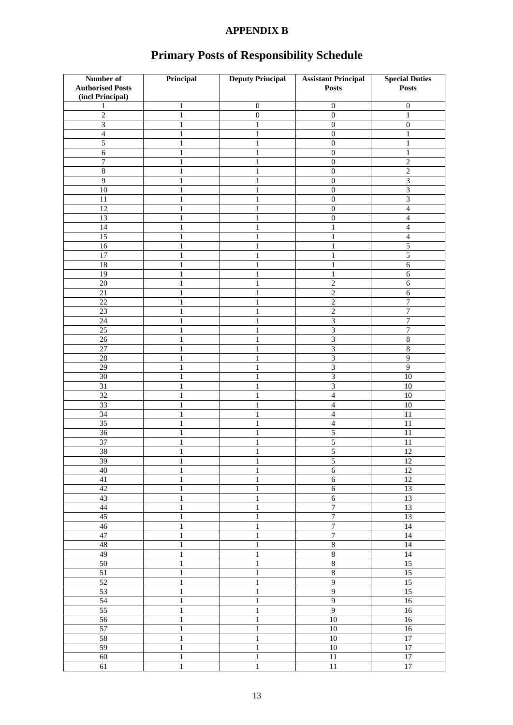# **APPENDIX B**

| Number of               | Principal                    | <b>Deputy Principal</b> | <b>Assistant Principal</b>   | <b>Special Duties</b>       |
|-------------------------|------------------------------|-------------------------|------------------------------|-----------------------------|
| <b>Authorised Posts</b> |                              |                         | <b>Posts</b>                 | <b>Posts</b>                |
| (incl Principal)        |                              |                         |                              |                             |
| 1                       | 1                            | $\boldsymbol{0}$        | $\boldsymbol{0}$             | $\boldsymbol{0}$            |
| $\overline{c}$          | $\mathbf{1}$                 | $\boldsymbol{0}$        | $\overline{0}$               | $\mathbf{1}$                |
| $\overline{3}$          | $\mathbf{1}$                 | 1                       | $\overline{0}$               | $\overline{0}$              |
| $\overline{4}$          | 1                            | 1                       | $\boldsymbol{0}$             | 1                           |
| 5                       | 1                            | 1                       | $\boldsymbol{0}$             | 1                           |
| $\overline{6}$          | 1                            |                         | $\boldsymbol{0}$             | 1                           |
| 7                       | 1                            | 1                       | $\boldsymbol{0}$             | $\overline{c}$              |
| $\overline{\bf 8}$      | 1                            |                         | $\mathbf{0}$                 | $\overline{2}$              |
| $\overline{9}$          |                              |                         |                              |                             |
|                         | 1                            | 1                       | $\boldsymbol{0}$             | $\ensuremath{\mathfrak{Z}}$ |
| 10                      | 1                            |                         | $\boldsymbol{0}$             | $\overline{\mathbf{3}}$     |
| 11                      | 1                            |                         | $\boldsymbol{0}$             | $\mathfrak{Z}$              |
| 12                      | 1                            | 1                       | $\boldsymbol{0}$             | $\overline{4}$              |
| 13                      | $\mathbf{1}$                 | $\mathbf{1}$            | $\boldsymbol{0}$             | $\overline{4}$              |
| 14                      | 1                            | 1                       | $\mathbf{1}$                 | $\overline{4}$              |
| 15                      | 1                            |                         | 1                            | $\overline{4}$              |
| $\overline{16}$         | 1                            |                         | 1                            | $\overline{5}$              |
| $\overline{17}$         | 1                            | 1                       | $\mathbf{1}$                 | $\overline{5}$              |
| $\overline{18}$         | 1                            | 1                       | $\mathbf{1}$                 | $\overline{6}$              |
| $\overline{19}$         | 1                            |                         | 1                            | 6                           |
| $20\,$                  | ı                            |                         | $\overline{2}$               | 6                           |
| 21                      | 1                            | 1                       | $\overline{c}$               | $\sqrt{6}$                  |
| $\overline{22}$         | $\mathbf{1}$                 | 1                       | $\overline{2}$               | $\boldsymbol{7}$            |
| $\overline{23}$         | 1                            | 1                       | $\overline{c}$               | $\overline{7}$              |
| 24                      | 1                            | 1                       | $\mathfrak{Z}$               | 7                           |
|                         |                              |                         |                              |                             |
| 25                      | 1                            |                         | $\ensuremath{\mathfrak{Z}}$  | 7                           |
| 26                      | 1                            | 1                       | $\ensuremath{\mathfrak{Z}}$  | $\,8\,$                     |
| 27                      | 1                            |                         | 3                            | $\overline{8}$              |
| 28                      | 1                            | 1                       | $\overline{\mathbf{3}}$      | $\overline{9}$              |
| 29                      | 1                            |                         | $\overline{\mathbf{3}}$      | $\overline{9}$              |
| 30                      | 1                            | 1                       | $\ensuremath{\mathfrak{Z}}$  | 10                          |
| $\overline{31}$         | 1                            | 1                       | $\overline{3}$               | 10                          |
| $\overline{32}$         | 1                            |                         | $\overline{4}$               | $\overline{10}$             |
| 33                      | 1                            | 1                       | $\overline{4}$               | 10                          |
| $\overline{34}$         | $\mathbf{1}$                 | $\mathbf{1}$            | $\overline{4}$               | 11                          |
| $\overline{35}$         | 1                            | 1                       | $\overline{4}$               | 11                          |
| 36                      | 1                            |                         | $\sqrt{5}$                   | 11                          |
| 37                      | 1                            |                         | 5                            | 11                          |
| $\overline{38}$         | 1                            | 1                       | $\overline{5}$               | $\overline{12}$             |
| 39                      |                              | 1                       | 5                            | 12                          |
| 40                      | $\mathbf{r}$<br>$\mathbf{1}$ | Τ.<br>$\mathbf{1}$      | $\sqrt{6}$                   | $\overline{12}$             |
| 41                      | $\mathbf{1}$                 | $\mathbf{1}$            | $\sqrt{6}$                   | $12\,$                      |
| 42                      |                              |                         | $\overline{6}$               |                             |
|                         | $\,1$                        | $\mathbf{1}$            |                              | 13                          |
| 43                      | $\,1$                        | $\,1\,$                 | $\sqrt{6}$<br>$\overline{7}$ | 13                          |
| 44                      | $\,1$                        | $\,1$                   |                              | 13                          |
| $\overline{45}$         | $\,1$                        | $\mathbf{1}$            | $\overline{7}$               | 13                          |
| $\overline{46}$         | 1                            | $\mathbf{1}$            | $\overline{7}$               | 14                          |
| 47                      | $\mathbf{1}$                 | $\,1$                   | $\overline{7}$               | 14                          |
| 48                      | $\,1$                        | $\,1\,$                 | $\sqrt{8}$                   | 14                          |
| 49                      | $\mathbf{1}$                 | $\,1$                   | $\sqrt{8}$                   | $\overline{14}$             |
| 50                      | $\,1$                        | $\,1\,$                 | $\sqrt{8}$                   | 15                          |
| 51                      | $\mathbf{1}$                 | $\,1\,$                 | $\overline{8}$               | $\overline{15}$             |
| 52                      | $\mathbf{1}$                 | $\overline{1}$          | $\overline{9}$               | 15                          |
| 53                      | $\,1$                        | $\mathbf{1}$            | $\overline{9}$               | 15                          |
| 54                      | $\,1$                        | $\,1$                   | $\overline{9}$               | 16                          |
| 55                      | $\,1$                        | $\,1$                   | $\overline{9}$               | 16                          |
| 56                      | $\,1$                        | $\,1\,$                 | 10                           | 16                          |
| $\overline{57}$         | $\mathbf{1}$                 | $\,1$                   | $10\,$                       | 16                          |
|                         |                              |                         | $\overline{10}$              |                             |
| 58                      | $\,1$                        | $\,1$                   |                              | $17\,$                      |
| 59                      | $\,1$                        | $\mathbf{1}$            | $\overline{10}$              | $\overline{17}$             |
| 60                      | $\,1$                        | $\,1\,$                 | $\overline{11}$              | $17\,$                      |
| 61                      | $\,1$                        | $\,1$                   | $11\,$                       | $\overline{17}$             |

# **Primary Posts of Responsibility Schedule**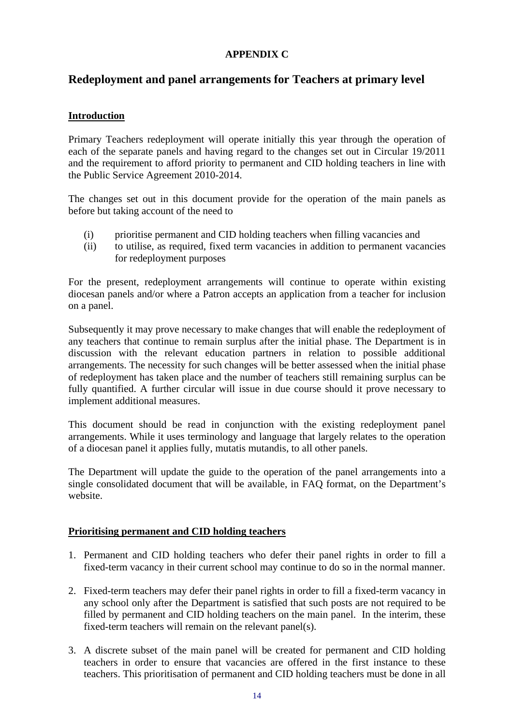# **APPENDIX C**

# **Redeployment and panel arrangements for Teachers at primary level**

# **Introduction**

Primary Teachers redeployment will operate initially this year through the operation of each of the separate panels and having regard to the changes set out in Circular 19/2011 and the requirement to afford priority to permanent and CID holding teachers in line with the Public Service Agreement 2010-2014.

The changes set out in this document provide for the operation of the main panels as before but taking account of the need to

- (i) prioritise permanent and CID holding teachers when filling vacancies and
- (ii) to utilise, as required, fixed term vacancies in addition to permanent vacancies for redeployment purposes

For the present, redeployment arrangements will continue to operate within existing diocesan panels and/or where a Patron accepts an application from a teacher for inclusion on a panel.

Subsequently it may prove necessary to make changes that will enable the redeployment of any teachers that continue to remain surplus after the initial phase. The Department is in discussion with the relevant education partners in relation to possible additional arrangements. The necessity for such changes will be better assessed when the initial phase of redeployment has taken place and the number of teachers still remaining surplus can be fully quantified. A further circular will issue in due course should it prove necessary to implement additional measures.

This document should be read in conjunction with the existing redeployment panel arrangements. While it uses terminology and language that largely relates to the operation of a diocesan panel it applies fully, mutatis mutandis, to all other panels.

The Department will update the guide to the operation of the panel arrangements into a single consolidated document that will be available, in FAQ format, on the Department's website.

# **Prioritising permanent and CID holding teachers**

- 1. Permanent and CID holding teachers who defer their panel rights in order to fill a fixed-term vacancy in their current school may continue to do so in the normal manner.
- 2. Fixed-term teachers may defer their panel rights in order to fill a fixed-term vacancy in any school only after the Department is satisfied that such posts are not required to be filled by permanent and CID holding teachers on the main panel. In the interim, these fixed-term teachers will remain on the relevant panel(s).
- 3. A discrete subset of the main panel will be created for permanent and CID holding teachers in order to ensure that vacancies are offered in the first instance to these teachers. This prioritisation of permanent and CID holding teachers must be done in all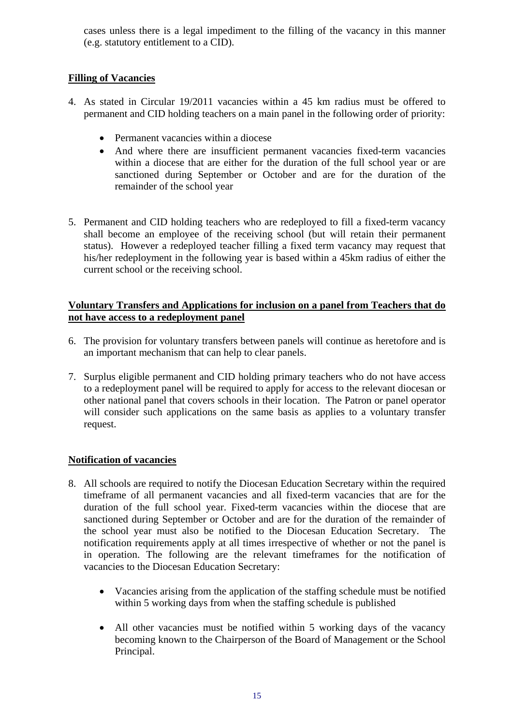cases unless there is a legal impediment to the filling of the vacancy in this manner (e.g. statutory entitlement to a CID).

# **Filling of Vacancies**

- 4. As stated in Circular 19/2011 vacancies within a 45 km radius must be offered to permanent and CID holding teachers on a main panel in the following order of priority:
	- Permanent vacancies within a diocese
	- And where there are insufficient permanent vacancies fixed-term vacancies within a diocese that are either for the duration of the full school year or are sanctioned during September or October and are for the duration of the remainder of the school year
- 5. Permanent and CID holding teachers who are redeployed to fill a fixed-term vacancy shall become an employee of the receiving school (but will retain their permanent status). However a redeployed teacher filling a fixed term vacancy may request that his/her redeployment in the following year is based within a 45km radius of either the current school or the receiving school.

# **Voluntary Transfers and Applications for inclusion on a panel from Teachers that do not have access to a redeployment panel**

- 6. The provision for voluntary transfers between panels will continue as heretofore and is an important mechanism that can help to clear panels.
- 7. Surplus eligible permanent and CID holding primary teachers who do not have access to a redeployment panel will be required to apply for access to the relevant diocesan or other national panel that covers schools in their location. The Patron or panel operator will consider such applications on the same basis as applies to a voluntary transfer request.

# **Notification of vacancies**

- 8. All schools are required to notify the Diocesan Education Secretary within the required timeframe of all permanent vacancies and all fixed-term vacancies that are for the duration of the full school year. Fixed-term vacancies within the diocese that are sanctioned during September or October and are for the duration of the remainder of the school year must also be notified to the Diocesan Education Secretary. The notification requirements apply at all times irrespective of whether or not the panel is in operation. The following are the relevant timeframes for the notification of vacancies to the Diocesan Education Secretary:
	- Vacancies arising from the application of the staffing schedule must be notified within 5 working days from when the staffing schedule is published
	- All other vacancies must be notified within 5 working days of the vacancy becoming known to the Chairperson of the Board of Management or the School Principal.